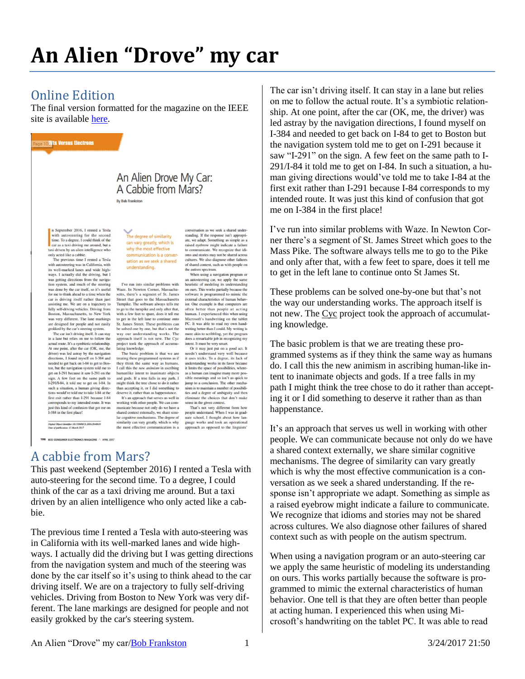## **An Alien "Drove" my car**

## Online Edition

The final version formatted for the magazine on the IEEE site is available [here.](http://online.qmags.com/CE0417?sessionID=6C1AB3CABF09E04B9EF5ED060&cid=2533555&eid=20199?fs=2&pg=108&mode=2)



with autosteering for the second<br>time. To a degree, I could think of the car as a taxi driving me around, but a<br>taxi driven by an alien intelligence who only acted like a cabbie.

omy accur ince a caotor.<br>The previous time I rented a Tesla<br>with autosteering was in California, with<br>its well-marked lanes and wide high-<br>ways. I actually did the driving, but I was getting directions from the naviga tion system, and much of the steering tion system, and much of the car itself, so it's useful<br>was done by the car itself, so it's useful<br>for me to think ahead to a time when the<br>car is driving itself rather than just<br>assisting me. We are on a trajectory to fully self-driving vehicles. Driving from<br>Boston, Massachusetts, to New York was very different. The lane markings was very unferent. The rane markings<br>are designed for people and not easily<br>grokked by the car's steering system. The car isn't driving itself. It can stay

in a lane but relies on me to follow the an a lane out renes on me to toucour the<br>At one point, after the car (OK, me, the<br>At one point, after the car (OK, me, the<br>driver) was led astray by the navigation<br>directions, I found myself on 1-384 and needed to get back on I-84 to get to Bosis the new ground to the maximum of the maximum system to the sign. A few feet on the same path to 1-291 on the sign. A few feet on the same path to 1-291/1-84, it told me to get on 1-84. In such a situation, a human giving directions would've told me to take I-84 at the to take woute to take the than 1-291 because 1-84<br>first exit rather than 1-291 because 1-84<br>corresponds to my intended route. It was<br>just this kind of confusion that got me on<br>1-384 in the first place!

–<br>Digital Object Identifier 10.1109/MCE.2016.2640619<br>Date of publication: 15 March 2017

IEEE CONSUMER ELECTRONICS MAGAZINE A APRIL 2017

The degree of similarity can vary greatly, which is why the most effective communication is a conversation as we seek a shared understanding.

to communicate. The recognized unit rate<br>contents and stories may not be shared across<br>cultures. We also diagnose other failures<br>of shared context, such as with people on<br>the autism spectrum.

an autosteering car, we apply the same<br>heuristic of modeling its understanding

neurs or inosemig is understanding the<br>software is programmed to mimic the<br>software is programmed to mimic the<br>external characteristics of human behav-<br>ior. One example is that computers are

for one example is that computers are<br>often better than people at acting<br>human. I experienced this when using<br>Microsoft's handwriting on the tablet<br>PC. It was able to read my own hand-<br>writing better than I could. My writi

more akin to scribbling, yet the program does a remarkable job in recogniz

does a renaixance for in recognizing my<br>thent. It must be very smart.<br>Or it may just put on a good act. It<br>needn't understand very well because<br>it uses tricks. To a degree, its lack of

understanding works in its favor because

in limits the space of possibilities, where<br>as a human can imagine many more pos-<br>sible meanings and so isn't as quick to<br>jump to a conclusion. The other mechanic

nism is to maintain a number of possibili-

ties and a degree of ambiguity and then

eliminate the choices that don't make eniminate the choices that don't make<br>sense in the given context.<br>That's not very different from how<br>people understand. When I was in graduate school, I thought about how lan-

guage works and took an operational

ach as opposed to the linguists'

ing my

When using a navigation program or

I've run into similar problems with The time into similar proposition<br>states, there's a segment of St. James<br>Street that goes to the Massachusetts<br>Tumpike. The software always tells me to go to the turnpike and only after that, to go to the tumplece and only atter that,<br>with a few feet to spare, does it tell me<br>to get in the left lane to continue onto<br>St. James Street. These problems can<br>be solved one by one, but that's not the way our understanding works. The approach itself is not new. The Cycl approach itself is not new. The Cyc<br>project took the approach of accumulating knowledge.<br>The basic problem is that we are

treating these programmed systems as if they think the same way as humans.<br>I call this the new animism in ascribing manlike intent to inanim ate object and gods. If a tree falls in my path, I<br>might think the tree chose to do it rather than accepting it, or I did something to deserve it, rather than as happenstance deserve it, rather than as happenstance.<br>It's an approach that serves us well in<br>working with other people. We can com-<br>municate because not only do we have a shared context externally, we share similar<br>cognitive mechanism

similarity can vary greatly, which is why the most effective unication is a

## A cabbie from Mars?

This past weekend (September 2016) I rented a Tesla with auto-steering for the second time. To a degree, I could think of the car as a taxi driving me around. But a taxi driven by an alien intelligence who only acted like a cabbie.

The previous time I rented a Tesla with auto-steering was in California with its well-marked lanes and wide highways. I actually did the driving but I was getting directions from the navigation system and much of the steering was done by the car itself so it's using to think ahead to the car driving itself. We are on a trajectory to fully self-driving vehicles. Driving from Boston to New York was very different. The lane markings are designed for people and not easily grokked by the car's steering system.

on me to follow the actual route. It's a symbiotic relationship. At one point, after the car (OK, me, the driver) was led astray by the navigation directions, I found myself on I-384 and needed to get back on I-84 to get to Boston but the navigation system told me to get on I-291 because it saw "I-291" on the sign. A few feet on the same path to I-291/I-84 it told me to get on I-84. In such a situation, a human giving directions would've told me to take I-84 at the first exit rather than I-291 because I-84 corresponds to my intended route. It was just this kind of confusion that got me on I-384 in the first place!

The car isn't driving itself. It can stay in a lane but relies

I've run into similar problems with Waze. In Newton Corner there's a segment of St. James Street which goes to the Mass Pike. The software always tells me to go to the Pike and only after that, with a few feet to spare, does it tell me to get in the left lane to continue onto St James St.

These problems can be solved one-by-one but that's not the way our understanding works. The approach itself is not new. The [Cyc](https://en.wikipedia.org/wiki/Cyc) project took the approach of accumulating knowledge.

The basic problem is that we are treating these programmed systems as if they think the same way as humans do. I call this the new animism in ascribing human-like intent to inanimate objects and gods. If a tree falls in my path I might think the tree chose to do it rather than accepting it or I did something to deserve it rather than as than happenstance.

It's an approach that serves us well in working with other people. We can communicate because not only do we have a shared context externally, we share similar cognitive mechanisms. The degree of similarity can vary greatly which is why the most effective communication is a conversation as we seek a shared understanding. If the response isn't appropriate we adapt. Something as simple as a raised eyebrow might indicate a failure to communicate. We recognize that idioms and stories may not be shared across cultures. We also diagnose other failures of shared context such as with people on the autism spectrum.

When using a navigation program or an auto-steering car we apply the same heuristic of modeling its understanding on ours. This works partially because the software is programmed to mimic the external characteristics of human behavior. One tell is that they are often better than people at acting human. I experienced this when using Microsoft's handwriting on the tablet PC. It was able to read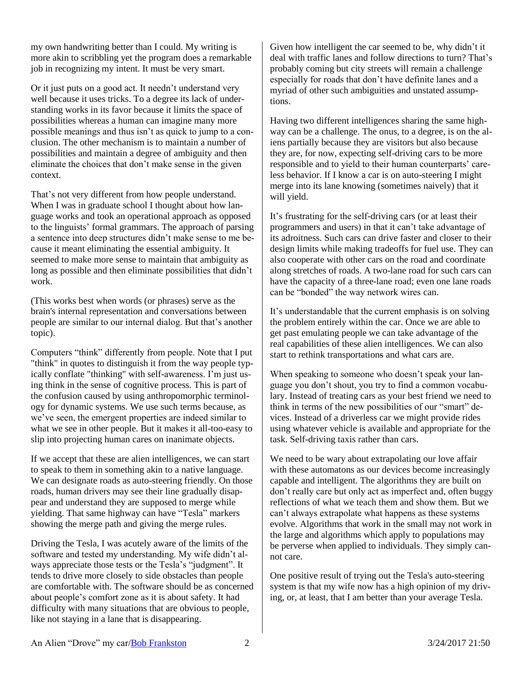my own handwriting better than I could. My writing is more akin to scribbling yet the program does a remarkable job in recognizing my intent. It must be very smart.

Or it just puts on a good act. It needn't understand very well because it uses tricks. To a degree its lack of understanding works in its favor because it limits the space of possibilities whereas a human can imagine many more possible meanings and thus isn't as quick to jump to a conclusion. The other mechanism is to maintain a number of possibilities and maintain a degree of ambiguity and then eliminate the choices that don't make sense in the given context.

That's not very different from how people understand. When I was in graduate school I thought about how language works and took an operational approach as opposed to the linguists' formal grammars. The approach of parsing a sentence into deep structures didn't make sense to me because it meant eliminating the essential ambiguity. It seemed to make more sense to maintain that ambiguity as long as possible and then eliminate possibilities that didn't work.

(This works best when words (or phrases) serve as the brain's internal representation and conversations between people are similar to our internal dialog. But that's another topic).

Computers "think" differently from people. Note that I put "think" in quotes to distinguish it from the way people typically conflate "thinking" with self-awareness. I'm just using think in the sense of cognitive process. This is part of the confusion caused by using anthropomorphic terminology for dynamic systems. We use such terms because, as we've seen, the emergent properties are indeed similar to what we see in other people. But it makes it all-too-easy to slip into projecting human cares on inanimate objects.

If we accept that these are alien intelligences, we can start to speak to them in something akin to a native language. We can designate roads as auto-steering friendly. On those roads, human drivers may see their line gradually disappear and understand they are supposed to merge while yielding. That same highway can have "Tesla" markers showing the merge path and giving the merge rules.

Driving the Tesla, I was acutely aware of the limits of the software and tested my understanding. My wife didn't always appreciate those tests or the Tesla's "judgment". It tends to drive more closely to side obstacles than people are comfortable with. The software should be as concerned about people's comfort zone as it is about safety. It had difficulty with many situations that are obvious to people, like not staying in a lane that is disappearing.

Given how intelligent the car seemed to be, why didn't it deal with traffic lanes and follow directions to turn? That's probably coming but city streets will remain a challenge especially for roads that don't have definite lanes and a myriad of other such ambiguities and unstated assumptions.

Having two different intelligences sharing the same highway can be a challenge. The onus, to a degree, is on the aliens partially because they are visitors but also because they are, for now, expecting self-driving cars to be more responsible and to yield to their human counterparts' careless behavior. If I know a car is on auto-steering I might merge into its lane knowing (sometimes naively) that it will yield.

It's frustrating for the self-driving cars (or at least their programmers and users) in that it can't take advantage of its adroitness. Such cars can drive faster and closer to their design limits while making tradeoffs for fuel use. They can also cooperate with other cars on the road and coordinate along stretches of roads. A two-lane road for such cars can have the capacity of a three-lane road; even one lane roads can be "bonded" the way network wires can.

It's understandable that the current emphasis is on solving the problem entirely within the car. Once we are able to get past emulating people we can take advantage of the real capabilities of these alien intelligences. We can also start to rethink transportations and what cars are.

When speaking to someone who doesn't speak your language you don't shout, you try to find a common vocabulary. Instead of treating cars as your best friend we need to think in terms of the new possibilities of our "smart" devices. Instead of a driverless car we might provide rides using whatever vehicle is available and appropriate for the task. Self-driving taxis rather than cars.

We need to be wary about extrapolating our love affair with these automatons as our devices become increasingly capable and intelligent. The algorithms they are built on don't really care but only act as imperfect and, often buggy reflections of what we teach them and show them. But we can't always extrapolate what happens as these systems evolve. Algorithms that work in the small may not work in the large and algorithms which apply to populations may be perverse when applied to individuals. They simply cannot care.

One positive result of trying out the Tesla's auto-steering system is that my wife now has a high opinion of my driving, or, at least, that I am better than your average Tesla.